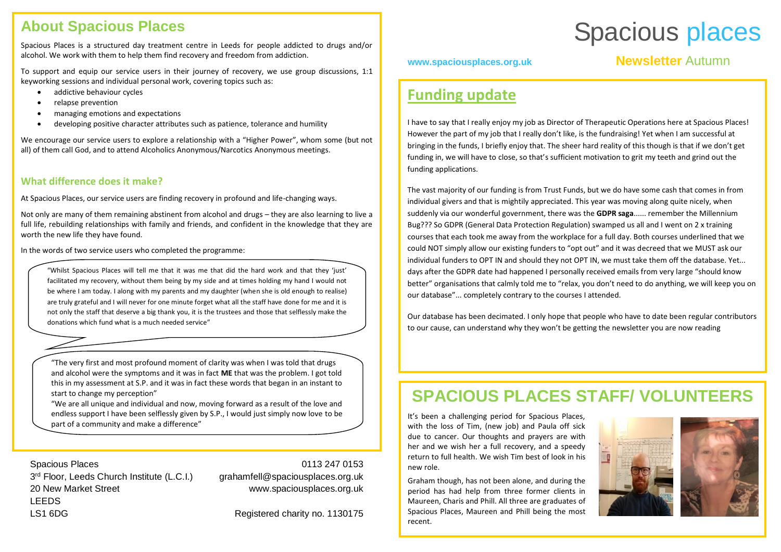# **About Spacious Places**

Spacious Places is a structured day treatment centre in Leeds for people addicted to drugs and/or alcohol. We work with them to help them find recovery and freedom from addiction.

To support and equip our service users in their journey of recovery, we use group discussions, 1:1 keyworking sessions and individual personal work, covering topics such as:

- addictive behaviour cycles
- relapse prevention
- managing emotions and expectations
- developing positive character attributes such as patience, tolerance and humility

We encourage our service users to explore a relationship with a "Higher Power", whom some (but not all) of them call God, and to attend Alcoholics Anonymous/Narcotics Anonymous meetings.

### **What difference does it make?**

At Spacious Places, our service users are finding recovery in profound and life-changing ways.

Not only are many of them remaining abstinent from alcohol and drugs – they are also learning to live a full life, rebuilding relationships with family and friends, and confident in the knowledge that they are worth the new life they have found.

In the words of two service users who completed the programme:

"Whilst Spacious Places will tell me that it was me that did the hard work and that they 'just' facilitated my recovery, without them being by my side and at times holding my hand I would not be where I am today. I along with my parents and my daughter (when she is old enough to realise) are truly grateful and I will never for one minute forget what all the staff have done for me and it is not only the staff that deserve a big thank you, it is the trustees and those that selflessly make the donations which fund what is a much needed service"

"The very first and most profound moment of clarity was when I was told that drugs and alcohol were the symptoms and it was in fact **ME** that was the problem. I got told this in my assessment at S.P. and it was in fact these words that began in an instant to start to change my perception"

"We are all unique and individual and now, moving forward as a result of the love and endless support I have been selflessly given by S.P., I would just simply now love to be part of a community and make a difference"

Spacious Places 3<sup>rd</sup> Floor, Leeds Church Institute (L.C.I.) 20 New Market Street **LEEDS** LS1 6DG

#### 0113 247 0153

grahamfell@spaciousplaces.org.uk www.spaciousplaces.org.uk

Registered charity no. 1130175

# Spacious places

## **www.spaciousplaces.org.uk Newsletter** Autumn

# **Funding update**

2018 20182017

I have to say that I really enjoy my job as Director of Therapeutic Operations here at Spacious Places! However the part of my job that I really don't like, is the fundraising! Yet when I am successful at bringing in the funds, I briefly enjoy that. The sheer hard reality of this though is that if we don't get funding in, we will have to close, so that's sufficient motivation to grit my teeth and grind out the funding applications.

The vast majority of our funding is from Trust Funds, but we do have some cash that comes in from individual givers and that is mightily appreciated. This year was moving along quite nicely, when suddenly via our wonderful government, there was the **GDPR saga**...... remember the Millennium Bug??? So GDPR (General Data Protection Regulation) swamped us all and I went on 2 x training courses that each took me away from the workplace for a full day. Both courses underlined that we could NOT simply allow our existing funders to "opt out" and it was decreed that we MUST ask our individual funders to OPT IN and should they not OPT IN, we must take them off the database. Yet... days after the GDPR date had happened I personally received emails from very large "should know better" organisations that calmly told me to "relax, you don't need to do anything, we will keep you on our database"... completely contrary to the courses I attended.

Our database has been decimated. I only hope that people who have to date been regular contributors to our cause, can understand why they won't be getting the newsletter you are now reading

# **SPACIOUS PLACES STAFF/ VOLUNTEERS**

It's been a challenging period for Spacious Places, with the loss of Tim, (new job) and Paula off sick due to cancer. Our thoughts and prayers are with her and we wish her a full recovery, and a speedy return to full health. We wish Tim best of look in his new role.

Graham though, has not been alone, and during the period has had help from three former clients in Maureen, Charis and Phill. All three are graduates of Spacious Places, Maureen and Phill being the most recent.

.





*Graham Fell, Therapeutic Manager*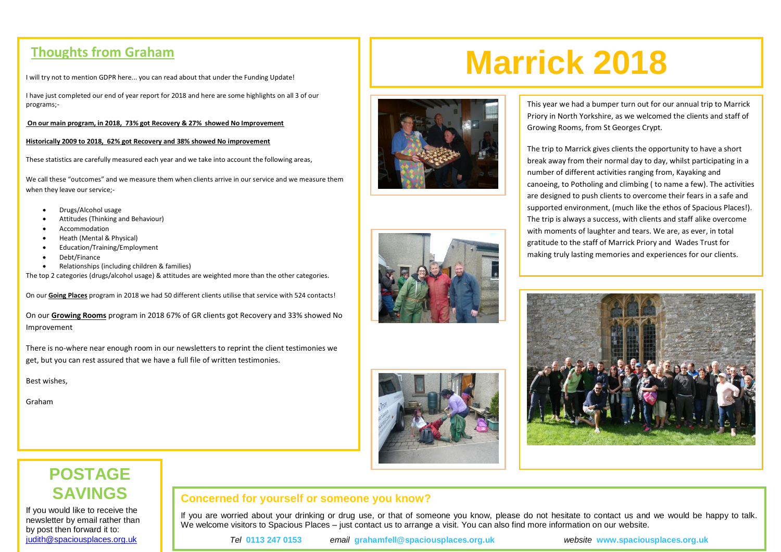I will try not to mention GDPR here... you can read about that under the Funding Update!

I have just completed our end of year report for 2018 and here are some highlights on all 3 of our programs;-

#### **On our main program, in 2018, 73% got Recovery & 27% showed No Improvement**

#### **Historically 2009 to 2018, 62% got Recovery and 38% showed No improvement**

These statistics are carefully measured each year and we take into account the following areas,

We call these "outcomes" and we measure them when clients arrive in our service and we measure them when they leave our service;-

- Drugs/Alcohol usage
- Attitudes (Thinking and Behaviour)
- Accommodation
- Heath (Mental & Physical)
- Education/Training/Employment
- Debt/Finance
- Relationships (including children & families)

The top 2 categories (drugs/alcohol usage) & attitudes are weighted more than the other categories.

On our **Going Places** program in 2018 we had 50 different clients utilise that service with 524 contacts!

On our **Growing Rooms** program in 2018 67% of GR clients got Recovery and 33% showed No Improvement

There is no-where near enough room in our newsletters to reprint the client testimonies we get, but you can rest assured that we have a full file of written testimonies.

Best wishes,

Graham

# **Marrick 2018 Thoughts from Graham**





This year we had a bumper turn out for our annual trip to Marrick Priory in North Yorkshire, as we welcomed the clients and staff of Growing Rooms, from St Georges Crypt.

The trip to Marrick gives clients the opportunity to have a short break away from their normal day to day, whilst participating in a number of different activities ranging from, Kayaking and canoeing, to Potholing and climbing ( to name a few). The activities are designed to push clients to overcome their fears in a safe and supported environment, (much like the ethos of Spacious Places!). The trip is always a success, with clients and staff alike overcome with moments of laughter and tears. We are, as ever, in total gratitude to the staff of Marrick Priory and Wades Trust for making truly lasting memories and experiences for our clients.



# **POSTAGE SAVINGS**

If you would like to receive the newsletter by email rather than by post then forward it to: [judith@spaciousplaces.org.uk](mailto:judith@spaciousplaces.org.uk)

### **Concerned for yourself or someone you know?**

If you are worried about your drinking or drug use, or that of someone you know, please do not hesitate to contact us and we would be happy to talk. We welcome visitors to Spacious Places – just contact us to arrange a visit. You can also find more information on our website.

*Tel* **0113 247 0153** *email* **grahamfell@spaciousplaces.org.uk** *website* **www.spaciousplaces.org.uk**